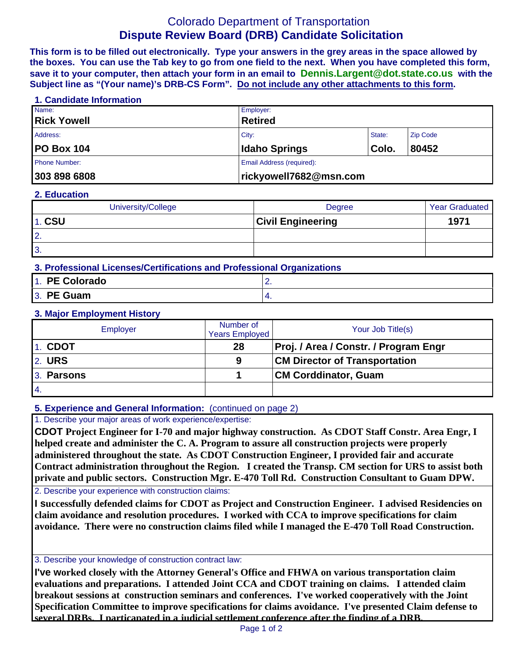# Colorado Department of Transportation **Dispute Review Board (DRB) Candidate Solicitation**

**This form is to be filled out electronically. Type your answers in the grey areas in the space allowed by the boxes. You can use the Tab key to go from one field to the next. When you have completed this form, save it to your computer, then attach your form in an email to Dennis.Largent@dot.state.co.us with the Subject line as "(Your name)'s DRB-CS Form". Do not include any other attachments to this form.**

#### **1. Candidate Information**

| Name:                | Employer:                          |       |       |  |
|----------------------|------------------------------------|-------|-------|--|
| <b>Rick Yowell</b>   | <b>Retired</b>                     |       |       |  |
| Address:             | City:<br>State:<br><b>Zip Code</b> |       |       |  |
| <b>PO Box 104</b>    | <b>Idaho Springs</b>               | Colo. | 80452 |  |
| <b>Phone Number:</b> | Email Address (required):          |       |       |  |
| 303 898 6808         | rickyowell7682@msn.com             |       |       |  |

#### **2. Education**

| University/College | Degree                   | <b>Year Graduated</b> |
|--------------------|--------------------------|-----------------------|
| <b>1. CSU</b>      | <b>Civil Engineering</b> | 1971                  |
| $\overline{2}$ .   |                          |                       |
| $\overline{3}$ .   |                          |                       |

# **3. Professional Licenses/Certifications and Professional Organizations**

| 1. PE Colorado | <u>.</u> |
|----------------|----------|
| 3. PE Guam     |          |

#### **3. Major Employment History**

| Employer      | Number of<br><b>Years Employed</b> | Your Job Title(s)                     |
|---------------|------------------------------------|---------------------------------------|
| 1. CDOT       | 28                                 | Proj. / Area / Constr. / Program Engr |
| <b>2. URS</b> | 9                                  | <b>CM Director of Transportation</b>  |
| 3. Parsons    |                                    | <b>CM Corddinator, Guam</b>           |
| 14.           |                                    |                                       |

# **5. Experience and General Information:** (continued on page 2)

1. Describe your major areas of work experience/expertise:

**CDOT Project Engineer for I-70 and major highway construction. As CDOT Staff Constr. Area Engr, I helped create and administer the C. A. Program to assure all construction projects were properly administered throughout the state. As CDOT Construction Engineer, I provided fair and accurate Contract administration throughout the Region. I created the Transp. CM section for URS to assist both private and public sectors. Construction Mgr. E-470 Toll Rd. Construction Consultant to Guam DPW.**

2. Describe your experience with construction claims:

**I successfully defended claims for CDOT as Project and Construction Engineer. I advised Residencies on claim avoidance and resolution procedures. I worked with CCA to improve specifications for claim avoidance. There were no construction claims filed while I managed the E-470 Toll Road Construction.**

#### 3. Describe your knowledge of construction contract law:

**I've worked closely with the Attorney General's Office and FHWA on various transportation claim evaluations and preparations. I attended Joint CCA and CDOT training on claims. I attended claim breakout sessions at construction seminars and conferences. I've worked cooperatively with the Joint Specification Committee to improve specifications for claims avoidance. I've presented Claim defense to several DRBs. I particapated in a judicial settlement conference after the finding of a DRB.**